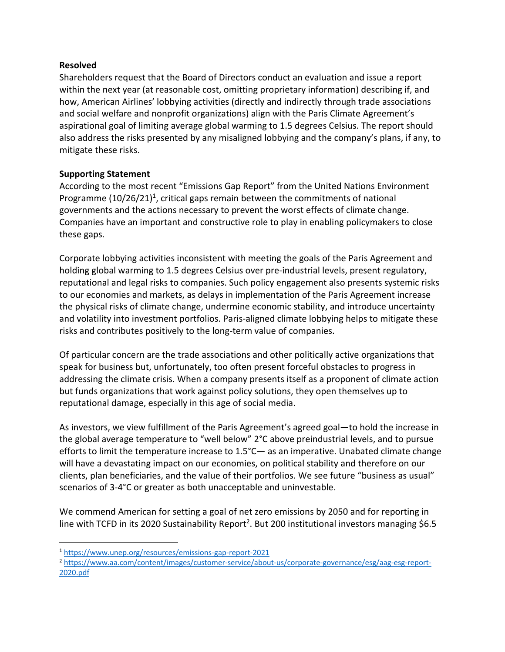## **Resolved**

Shareholders request that the Board of Directors conduct an evaluation and issue a report within the next year (at reasonable cost, omitting proprietary information) describing if, and how, American Airlines' lobbying activities (directly and indirectly through trade associations and social welfare and nonprofit organizations) align with the Paris Climate Agreement's aspirational goal of limiting average global warming to 1.5 degrees Celsius. The report should also address the risks presented by any misaligned lobbying and the company's plans, if any, to mitigate these risks.

## **Supporting Statement**

According to the most recent "Emissions Gap Report" from the United Nations Environment Programme  $(10/26/21)^1$ , critical gaps remain between the commitments of national governments and the actions necessary to prevent the worst effects of climate change. Companies have an important and constructive role to play in enabling policymakers to close these gaps.

Corporate lobbying activities inconsistent with meeting the goals of the Paris Agreement and holding global warming to 1.5 degrees Celsius over pre-industrial levels, present regulatory, reputational and legal risks to companies. Such policy engagement also presents systemic risks to our economies and markets, as delays in implementation of the Paris Agreement increase the physical risks of climate change, undermine economic stability, and introduce uncertainty and volatility into investment portfolios. Paris‐aligned climate lobbying helps to mitigate these risks and contributes positively to the long‐term value of companies.

Of particular concern are the trade associations and other politically active organizations that speak for business but, unfortunately, too often present forceful obstacles to progress in addressing the climate crisis. When a company presents itself as a proponent of climate action but funds organizations that work against policy solutions, they open themselves up to reputational damage, especially in this age of social media.

As investors, we view fulfillment of the Paris Agreement's agreed goal—to hold the increase in the global average temperature to "well below" 2°C above preindustrial levels, and to pursue efforts to limit the temperature increase to 1.5°C— as an imperative. Unabated climate change will have a devastating impact on our economies, on political stability and therefore on our clients, plan beneficiaries, and the value of their portfolios. We see future "business as usual" scenarios of 3‐4°C or greater as both unacceptable and uninvestable.

We commend American for setting a goal of net zero emissions by 2050 and for reporting in line with TCFD in its 2020 Sustainability Report<sup>2</sup>. But 200 institutional investors managing \$6.5

<sup>1</sup> https://www.unep.org/resources/emissions‐gap‐report‐2021

<sup>2</sup> https://www.aa.com/content/images/customer‐service/about‐us/corporate‐governance/esg/aag‐esg‐report‐ 2020.pdf